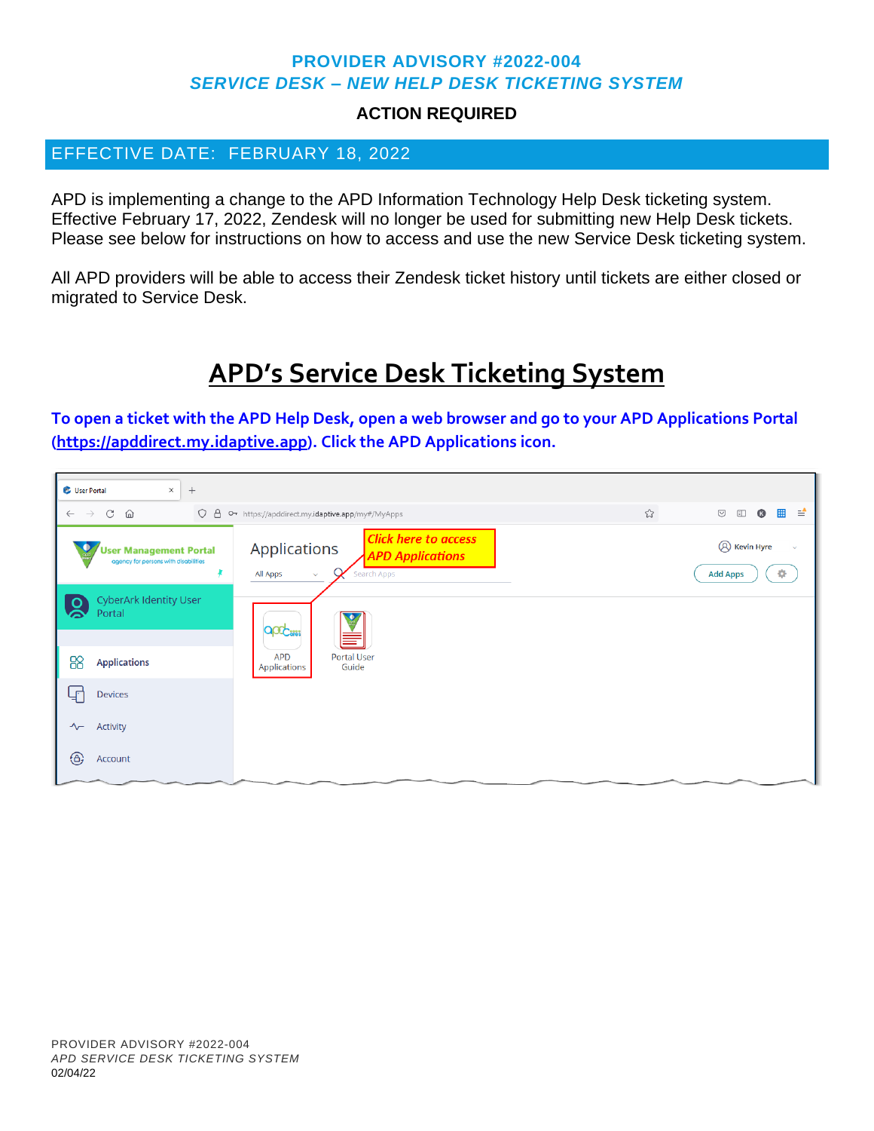### **PROVIDER ADVISORY #2022-004** *SERVICE DESK – NEW HELP DESK TICKETING SYSTEM*

### **ACTION REQUIRED**

## EFFECTIVE DATE: FEBRUARY 18, 2022

APD is implementing a change to the APD Information Technology Help Desk ticketing system. Effective February 17, 2022, Zendesk will no longer be used for submitting new Help Desk tickets. Please see below for instructions on how to access and use the new Service Desk ticketing system.

All APD providers will be able to access their Zendesk ticket history until tickets are either closed or migrated to Service Desk.

# **APD's Service Desk Ticketing System**

**To open a ticket with the APD Help Desk, open a web browser and go to your APD Applications Portal [\(https://apddirect.my.idaptive.app\)](https://apddirect.my.idaptive.app/). Click the APD Applications icon.** 

| User Portal<br>$\times$<br>$+$                                      |                                                                                                                   |                                                             |  |  |  |  |  |  |
|---------------------------------------------------------------------|-------------------------------------------------------------------------------------------------------------------|-------------------------------------------------------------|--|--|--|--|--|--|
| $C \quad \Omega$<br>$\leftarrow$ $\rightarrow$                      | O A $\circ$ https://apddirect.my.idaptive.app/my#/MyApps                                                          | ☆<br>■ ≐<br>$\bullet$<br>$\odot$<br>$\Box$                  |  |  |  |  |  |  |
| User Management Portal<br>agency for persons with disabilities<br>¥ | <b>Click here to access</b><br>Applications<br><b>APD Applications</b><br>Search Apps<br>All Apps<br>$\checkmark$ | <b>8</b> Kevin Hyre<br>$\checkmark$<br>÷<br><b>Add Apps</b> |  |  |  |  |  |  |
| <b>CyberArk Identity User</b><br>$\overline{\Omega}$<br>Portal      | apo <sub>cin</sub>                                                                                                |                                                             |  |  |  |  |  |  |
| 88<br><b>Applications</b>                                           | <b>Portal User</b><br><b>APD</b><br>Guide<br>Applications                                                         |                                                             |  |  |  |  |  |  |
| لڀا<br><b>Devices</b>                                               |                                                                                                                   |                                                             |  |  |  |  |  |  |
| Activity<br>$\sim$                                                  |                                                                                                                   |                                                             |  |  |  |  |  |  |
| $\bigoplus$<br>Account                                              |                                                                                                                   |                                                             |  |  |  |  |  |  |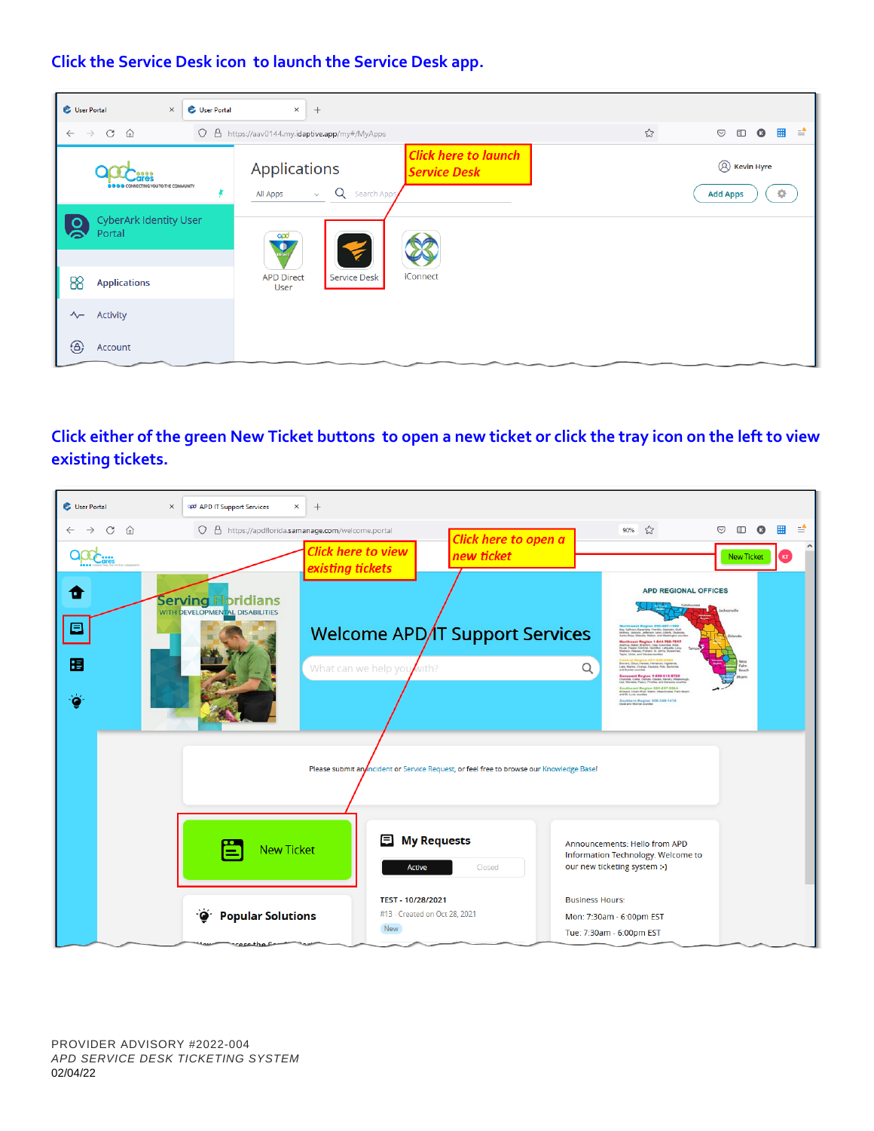### **Click the Service Desk icon to launch the Service Desk app.**



## **Click either of the green New Ticket buttons to open a new ticket or click the tray icon on the left to view existing tickets.**